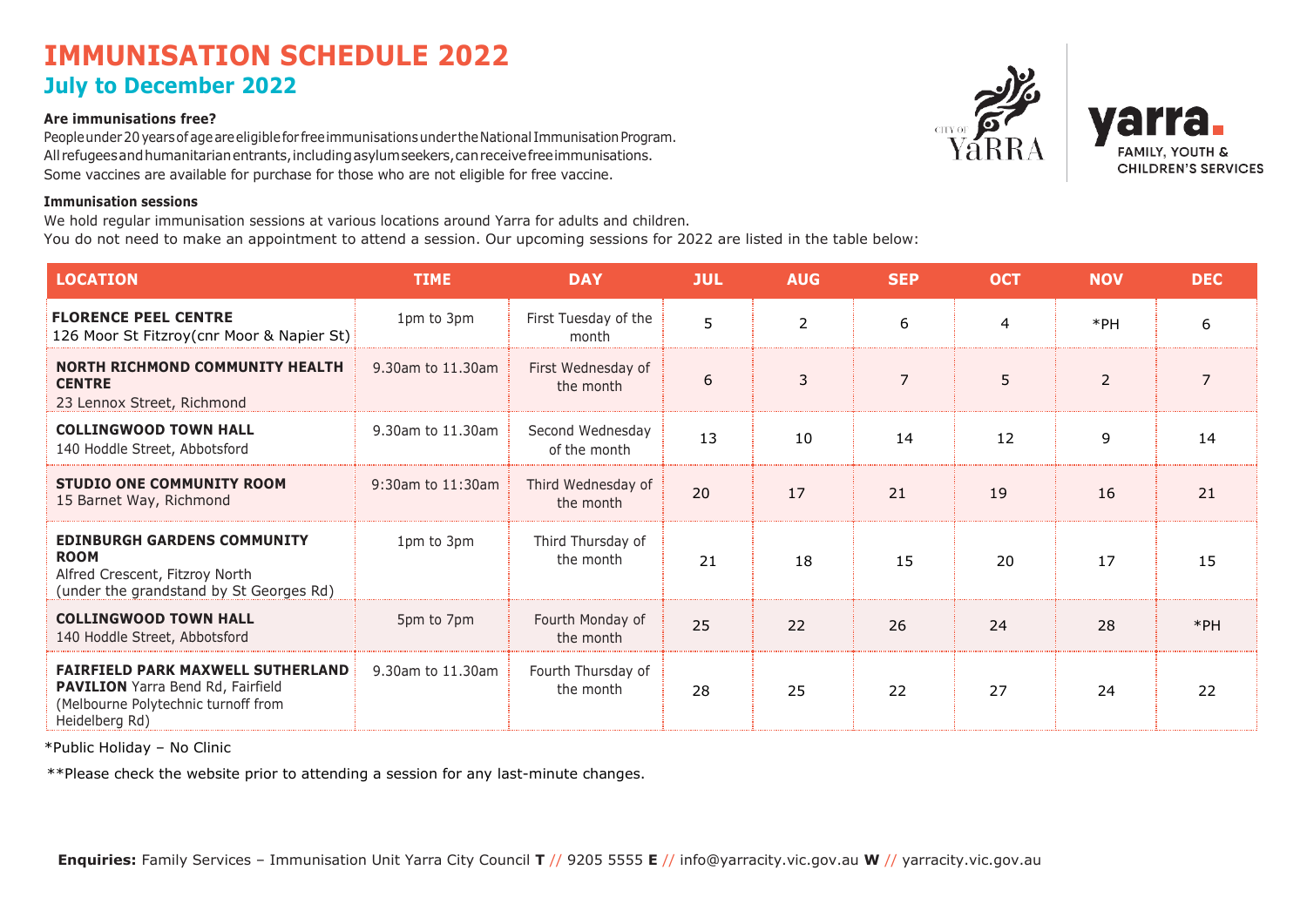## **IMMUNISATION SCHEDULE 2022 July to December 2022**

### **Are immunisations free?**

People under 20 years of age are eligible for free immunisations under the National Immunisation Program. All refugees and humanitarian entrants, including asylum seekers, can receive free immunisations. Some vaccines are available for purchase for those who are not eligible for free vaccine.

### **Immunisation sessions**

We hold regular immunisation sessions at various locations around Yarra for adults and children. You do not need to make an appointment to attend a session. Our upcoming sessions for 2022 are listed in the table below:

**LOCATION TIME DAY JUL AUG SEP OCT NOV DEC FLORENCE PEEL CENTRE** 126 Moor St Fitzroy(cnr Moor & Napier St) 1pm to 3pm First Tuesday of the month 5 2 6 4 \*PH 6 **NORTH RICHMOND COMMUNITY HEALTH CENTRE** 23 Lennox Street, Richmond 9.30am to 11.30am First Wednesday of the month  $\begin{array}{|c|c|c|c|c|c|c|c|c|} \hline \multicolumn{1}{c|}{\text{the month}} & \multicolumn{1}{c|}{\text{5}} & \multicolumn{1}{c|}{\text{5}} & \multicolumn{1}{c|}{\text{2}} & \multicolumn{1}{c|}{\text{7}} \\ \hline \multicolumn{1}{c|}{\text{the month}} & \multicolumn{1}{c|}{\text{5}} & \multicolumn{1}{c|}{\text{3}} & \multicolumn{1}{c|}{\text{7}} & \multicolumn{1}{c|}{\text{5}} & \multicolumn{1}{c|}{\text{2}} & \mult$ **COLLINGWOOD TOWN HALL** 140 Hoddle Street, Abbotsford 9.30am to 11.30am Second Wednesday of the month 13 10 14 12 9 14 **STUDIO ONE COMMUNITY ROOM** 15 Barnet Way, Richmond 9:30am to 11:30am Third Wednesday of the month 20 17 21 19 16 21 **EDINBURGH GARDENS COMMUNITY ROOM** Alfred Crescent, Fitzroy North (under the grandstand by St Georges Rd) 1pm to 3pm Third Thursday of the month 21 18 15 20 17 15 **COLLINGWOOD TOWN HALL** 140 Hoddle Street, Abbotsford 5pm to 7pm Fourth Monday of the month 25 22 26 24 24 28 \*PH **FAIRFIELD PARK MAXWELL SUTHERLAND PAVILION** Yarra Bend Rd, Fairfield (Melbourne Polytechnic turnoff from Heidelberg Rd) 9.30am to 11.30am Fourth Thursday of the month 28 25 22 27 24 22

\*Public Holiday – No Clinic

\*\*Please check the website prior to attending a session for any last-minute changes.